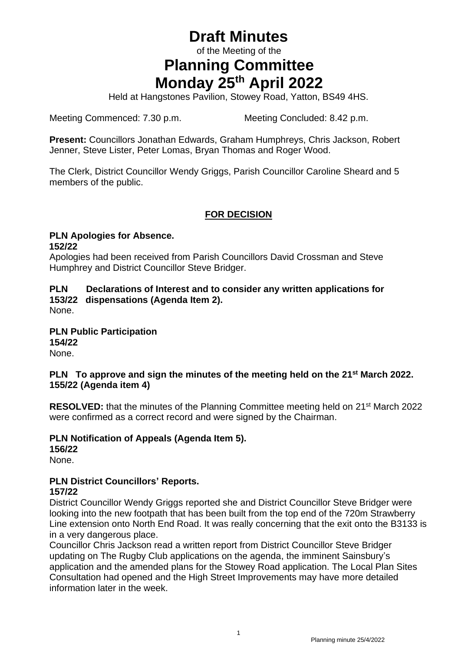# **Draft Minutes**

of the Meeting of the

# **Planning Committee Monday 25 th April 2022**

Held at Hangstones Pavilion, Stowey Road, Yatton, BS49 4HS.

Meeting Commenced: 7.30 p.m. Meeting Concluded: 8.42 p.m.

**Present:** Councillors Jonathan Edwards, Graham Humphreys, Chris Jackson, Robert Jenner, Steve Lister, Peter Lomas, Bryan Thomas and Roger Wood.

The Clerk, District Councillor Wendy Griggs, Parish Councillor Caroline Sheard and 5 members of the public.

# **FOR DECISION**

#### **PLN Apologies for Absence. 152/22**

Apologies had been received from Parish Councillors David Crossman and Steve Humphrey and District Councillor Steve Bridger.

### **PLN Declarations of Interest and to consider any written applications for 153/22 dispensations (Agenda Item 2).**

None.

#### **PLN Public Participation 154/22** None.

### **PLN To approve and sign the minutes of the meeting held on the 21 st March 2022. 155/22 (Agenda item 4)**

**RESOLVED:** that the minutes of the Planning Committee meeting held on 21<sup>st</sup> March 2022 were confirmed as a correct record and were signed by the Chairman.

### **PLN Notification of Appeals (Agenda Item 5).**

**156/22** None.

#### **PLN District Councillors' Reports. 157/22**

District Councillor Wendy Griggs reported she and District Councillor Steve Bridger were looking into the new footpath that has been built from the top end of the 720m Strawberry Line extension onto North End Road. It was really concerning that the exit onto the B3133 is in a very dangerous place.

Councillor Chris Jackson read a written report from District Councillor Steve Bridger updating on The Rugby Club applications on the agenda, the imminent Sainsbury's application and the amended plans for the Stowey Road application. The Local Plan Sites Consultation had opened and the High Street Improvements may have more detailed information later in the week.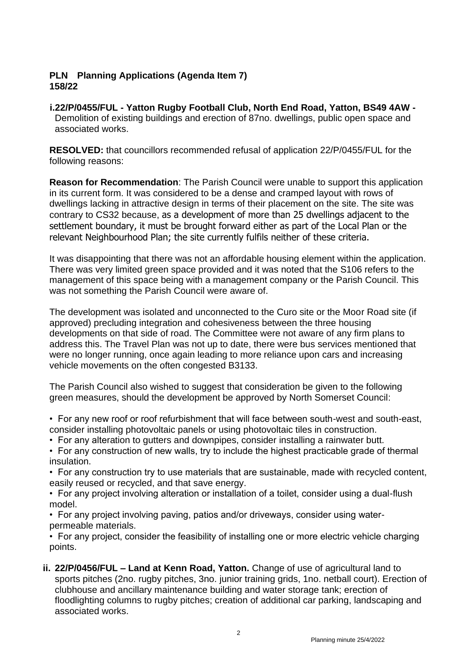#### **PLN Planning Applications (Agenda Item 7) 158/22**

**i.22/P/0455/FUL - Yatton Rugby Football Club, North End Road, Yatton, BS49 4AW -** Demolition of existing buildings and erection of 87no. dwellings, public open space and associated works.

**RESOLVED:** that councillors recommended refusal of application 22/P/0455/FUL for the following reasons:

**Reason for Recommendation**: The Parish Council were unable to support this application in its current form. It was considered to be a dense and cramped layout with rows of dwellings lacking in attractive design in terms of their placement on the site. The site was contrary to CS32 because, as a development of more than 25 dwellings adjacent to the settlement boundary, it must be brought forward either as part of the Local Plan or the relevant Neighbourhood Plan; the site currently fulfils neither of these criteria.

It was disappointing that there was not an affordable housing element within the application. There was very limited green space provided and it was noted that the S106 refers to the management of this space being with a management company or the Parish Council. This was not something the Parish Council were aware of.

The development was isolated and unconnected to the Curo site or the Moor Road site (if approved) precluding integration and cohesiveness between the three housing developments on that side of road. The Committee were not aware of any firm plans to address this. The Travel Plan was not up to date, there were bus services mentioned that were no longer running, once again leading to more reliance upon cars and increasing vehicle movements on the often congested B3133.

The Parish Council also wished to suggest that consideration be given to the following green measures, should the development be approved by North Somerset Council:

- For any new roof or roof refurbishment that will face between south-west and south-east, consider installing photovoltaic panels or using photovoltaic tiles in construction.
- For any alteration to gutters and downpipes, consider installing a rainwater butt.
- For any construction of new walls, try to include the highest practicable grade of thermal insulation.

• For any construction try to use materials that are sustainable, made with recycled content, easily reused or recycled, and that save energy.

• For any project involving alteration or installation of a toilet, consider using a dual-flush model.

• For any project involving paving, patios and/or driveways, consider using waterpermeable materials.

• For any project, consider the feasibility of installing one or more electric vehicle charging points.

**ii. 22/P/0456/FUL – Land at Kenn Road, Yatton.** Change of use of agricultural land to sports pitches (2no. rugby pitches, 3no. junior training grids, 1no. netball court). Erection of clubhouse and ancillary maintenance building and water storage tank; erection of floodlighting columns to rugby pitches; creation of additional car parking, landscaping and associated works.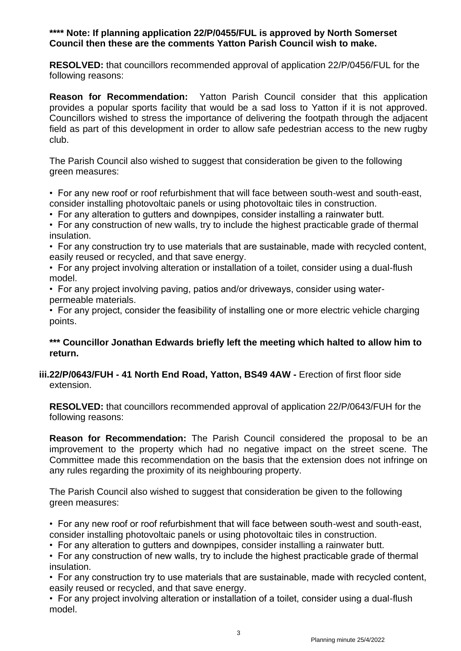#### **\*\*\*\* Note: If planning application 22/P/0455/FUL is approved by North Somerset Council then these are the comments Yatton Parish Council wish to make.**

**RESOLVED:** that councillors recommended approval of application 22/P/0456/FUL for the following reasons:

**Reason for Recommendation:** Yatton Parish Council consider that this application provides a popular sports facility that would be a sad loss to Yatton if it is not approved. Councillors wished to stress the importance of delivering the footpath through the adjacent field as part of this development in order to allow safe pedestrian access to the new rugby club.

The Parish Council also wished to suggest that consideration be given to the following green measures:

• For any new roof or roof refurbishment that will face between south-west and south-east, consider installing photovoltaic panels or using photovoltaic tiles in construction.

• For any alteration to gutters and downpipes, consider installing a rainwater butt.

• For any construction of new walls, try to include the highest practicable grade of thermal insulation.

• For any construction try to use materials that are sustainable, made with recycled content, easily reused or recycled, and that save energy.

• For any project involving alteration or installation of a toilet, consider using a dual-flush model.

• For any project involving paving, patios and/or driveways, consider using waterpermeable materials.

• For any project, consider the feasibility of installing one or more electric vehicle charging points.

### **\*\*\* Councillor Jonathan Edwards briefly left the meeting which halted to allow him to return.**

### **iii.22/P/0643/FUH - 41 North End Road, Yatton, BS49 4AW -** Erection of first floor side extension.

**RESOLVED:** that councillors recommended approval of application 22/P/0643/FUH for the following reasons:

**Reason for Recommendation:** The Parish Council considered the proposal to be an improvement to the property which had no negative impact on the street scene. The Committee made this recommendation on the basis that the extension does not infringe on any rules regarding the proximity of its neighbouring property.

The Parish Council also wished to suggest that consideration be given to the following green measures:

• For any new roof or roof refurbishment that will face between south-west and south-east, consider installing photovoltaic panels or using photovoltaic tiles in construction.

• For any alteration to gutters and downpipes, consider installing a rainwater butt.

• For any construction of new walls, try to include the highest practicable grade of thermal insulation.

• For any construction try to use materials that are sustainable, made with recycled content, easily reused or recycled, and that save energy.

• For any project involving alteration or installation of a toilet, consider using a dual-flush model.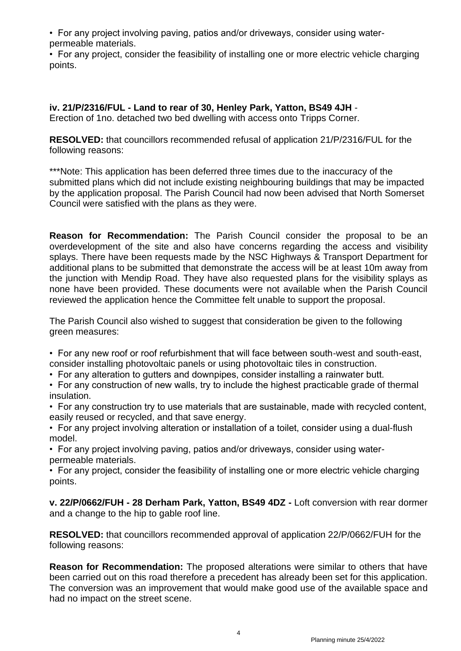• For any project involving paving, patios and/or driveways, consider using waterpermeable materials.

• For any project, consider the feasibility of installing one or more electric vehicle charging points.

**iv. 21/P/2316/FUL - Land to rear of 30, Henley Park, Yatton, BS49 4JH** - Erection of 1no. detached two bed dwelling with access onto Tripps Corner.

**RESOLVED:** that councillors recommended refusal of application 21/P/2316/FUL for the following reasons:

\*\*\*Note: This application has been deferred three times due to the inaccuracy of the submitted plans which did not include existing neighbouring buildings that may be impacted by the application proposal. The Parish Council had now been advised that North Somerset Council were satisfied with the plans as they were.

**Reason for Recommendation:** The Parish Council consider the proposal to be an overdevelopment of the site and also have concerns regarding the access and visibility splays. There have been requests made by the NSC Highways & Transport Department for additional plans to be submitted that demonstrate the access will be at least 10m away from the junction with Mendip Road. They have also requested plans for the visibility splays as none have been provided. These documents were not available when the Parish Council reviewed the application hence the Committee felt unable to support the proposal.

The Parish Council also wished to suggest that consideration be given to the following green measures:

• For any new roof or roof refurbishment that will face between south-west and south-east, consider installing photovoltaic panels or using photovoltaic tiles in construction.

• For any alteration to gutters and downpipes, consider installing a rainwater butt.

• For any construction of new walls, try to include the highest practicable grade of thermal insulation.

• For any construction try to use materials that are sustainable, made with recycled content, easily reused or recycled, and that save energy.

• For any project involving alteration or installation of a toilet, consider using a dual-flush model.

• For any project involving paving, patios and/or driveways, consider using waterpermeable materials.

• For any project, consider the feasibility of installing one or more electric vehicle charging points.

**v. 22/P/0662/FUH - 28 Derham Park, Yatton, BS49 4DZ -** Loft conversion with rear dormer and a change to the hip to gable roof line.

**RESOLVED:** that councillors recommended approval of application 22/P/0662/FUH for the following reasons:

**Reason for Recommendation:** The proposed alterations were similar to others that have been carried out on this road therefore a precedent has already been set for this application. The conversion was an improvement that would make good use of the available space and had no impact on the street scene.